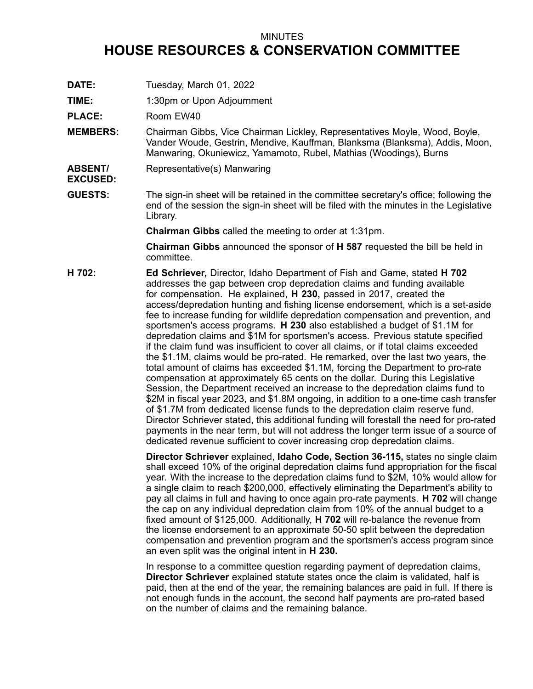## MINUTES **HOUSE RESOURCES & CONSERVATION COMMITTEE**

- **DATE:** Tuesday, March 01, 2022
- **TIME:** 1:30pm or Upon Adjournment

PLACE: Room EW40

- **MEMBERS:** Chairman Gibbs, Vice Chairman Lickley, Representatives Moyle, Wood, Boyle, Vander Woude, Gestrin, Mendive, Kauffman, Blanksma (Blanksma), Addis, Moon, Manwaring, Okuniewicz, Yamamoto, Rubel, Mathias (Woodings), Burns
- **ABSENT/ EXCUSED:** Representative(s) Manwaring
- **GUESTS:** The sign-in sheet will be retained in the committee secretary's office; following the end of the session the sign-in sheet will be filed with the minutes in the Legislative Library.

**Chairman Gibbs** called the meeting to order at 1:31pm.

**Chairman Gibbs** announced the sponsor of **H 587** requested the bill be held in committee.

**H 702: Ed Schriever,** Director, Idaho Department of Fish and Game, stated **H 702** addresses the gap between crop depredation claims and funding available for compensation. He explained, **H 230,** passed in 2017, created the access/depredation hunting and fishing license endorsement, which is <sup>a</sup> set-aside fee to increase funding for wildlife depredation compensation and prevention, and sportsmen's access programs. **H 230** also established <sup>a</sup> budget of \$1.1M for depredation claims and \$1M for sportsmen's access. Previous statute specified if the claim fund was insufficient to cover all claims, or if total claims exceeded the \$1.1M, claims would be pro-rated. He remarked, over the last two years, the total amount of claims has exceeded \$1.1M, forcing the Department to pro-rate compensation at approximately 65 cents on the dollar. During this Legislative Session, the Department received an increase to the depredation claims fund to \$2M in fiscal year 2023, and \$1.8M ongoing, in addition to <sup>a</sup> one-time cash transfer of \$1.7M from dedicated license funds to the depredation claim reserve fund. Director Schriever stated, this additional funding will forestall the need for pro-rated payments in the near term, but will not address the longer term issue of <sup>a</sup> source of dedicated revenue sufficient to cover increasing crop depredation claims.

> **Director Schriever** explained, **Idaho Code, Section 36-115,** states no single claim shall exceed 10% of the original depredation claims fund appropriation for the fiscal year. With the increase to the depredation claims fund to \$2M, 10% would allow for <sup>a</sup> single claim to reach \$200,000, effectively eliminating the Department's ability to pay all claims in full and having to once again pro-rate payments. **H 702** will change the cap on any individual depredation claim from 10% of the annual budget to <sup>a</sup> fixed amount of \$125,000. Additionally, **H 702** will re-balance the revenue from the license endorsement to an approximate 50-50 split between the depredation compensation and prevention program and the sportsmen's access program since an even split was the original intent in **H 230.**

In response to <sup>a</sup> committee question regarding payment of depredation claims, **Director Schriever** explained statute states once the claim is validated, half is paid, then at the end of the year, the remaining balances are paid in full. If there is not enough funds in the account, the second half payments are pro-rated based on the number of claims and the remaining balance.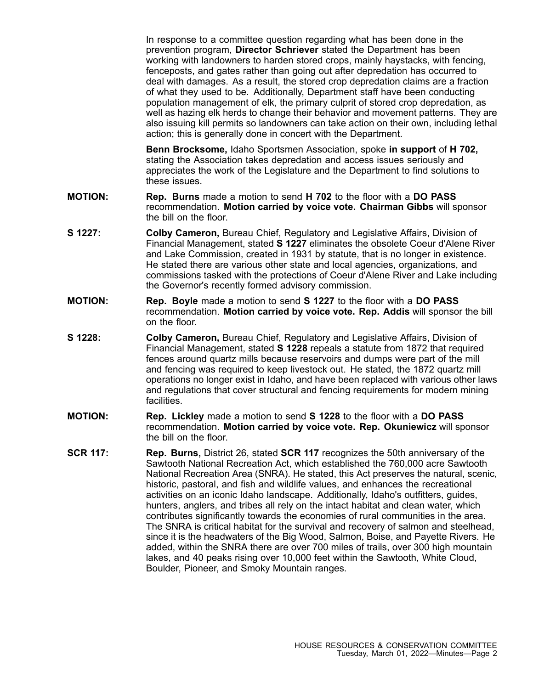In response to <sup>a</sup> committee question regarding what has been done in the prevention program, **Director Schriever** stated the Department has been working with landowners to harden stored crops, mainly haystacks, with fencing, fenceposts, and gates rather than going out after depredation has occurred to deal with damages. As <sup>a</sup> result, the stored crop depredation claims are <sup>a</sup> fraction of what they used to be. Additionally, Department staff have been conducting population management of elk, the primary culprit of stored crop depredation, as well as hazing elk herds to change their behavior and movement patterns. They are also issuing kill permits so landowners can take action on their own, including lethal action; this is generally done in concert with the Department.

**Benn Brocksome,** Idaho Sportsmen Association, spoke **in support** of **H 702,** stating the Association takes depredation and access issues seriously and appreciates the work of the Legislature and the Department to find solutions to these issues.

- **MOTION: Rep. Burns** made <sup>a</sup> motion to send **H 702** to the floor with <sup>a</sup> **DO PASS** recommendation. **Motion carried by voice vote. Chairman Gibbs** will sponsor the bill on the floor.
- **S 1227: Colby Cameron,** Bureau Chief, Regulatory and Legislative Affairs, Division of Financial Management, stated **S 1227** eliminates the obsolete Coeur d'Alene River and Lake Commission, created in 1931 by statute, that is no longer in existence. He stated there are various other state and local agencies, organizations, and commissions tasked with the protections of Coeur d'Alene River and Lake including the Governor's recently formed advisory commission.
- **MOTION: Rep. Boyle** made <sup>a</sup> motion to send **S 1227** to the floor with <sup>a</sup> **DO PASS** recommendation. **Motion carried by voice vote. Rep. Addis** will sponsor the bill on the floor.
- **S 1228: Colby Cameron,** Bureau Chief, Regulatory and Legislative Affairs, Division of Financial Management, stated **S 1228** repeals <sup>a</sup> statute from 1872 that required fences around quartz mills because reservoirs and dumps were part of the mill and fencing was required to keep livestock out. He stated, the 1872 quartz mill operations no longer exist in Idaho, and have been replaced with various other laws and regulations that cover structural and fencing requirements for modern mining facilities.
- **MOTION: Rep. Lickley** made <sup>a</sup> motion to send **S 1228** to the floor with <sup>a</sup> **DO PASS** recommendation. **Motion carried by voice vote. Rep. Okuniewicz** will sponsor the bill on the floor.
- **SCR 117: Rep. Burns,** District 26, stated **SCR 117** recognizes the 50th anniversary of the Sawtooth National Recreation Act, which established the 760,000 acre Sawtooth National Recreation Area (SNRA). He stated, this Act preserves the natural, scenic, historic, pastoral, and fish and wildlife values, and enhances the recreational activities on an iconic Idaho landscape. Additionally, Idaho's outfitters, guides, hunters, anglers, and tribes all rely on the intact habitat and clean water, which contributes significantly towards the economies of rural communities in the area. The SNRA is critical habitat for the survival and recovery of salmon and steelhead, since it is the headwaters of the Big Wood, Salmon, Boise, and Payette Rivers. He added, within the SNRA there are over 700 miles of trails, over 300 high mountain lakes, and 40 peaks rising over 10,000 feet within the Sawtooth, White Cloud, Boulder, Pioneer, and Smoky Mountain ranges.